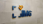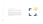$\overline{\mathsf{n}}$ **International Medical Group**

IMG® Brand Guidelines  *Copyright ©2020*



The IMG logo reflects our focus on providing a foundation of security, health and well-being for our constituents while they are away from home.

The birds in the logo represent the Arctic Tern, whose annual migration is the longest of any animal in the world. Each bird in the flock symbolizes one of IMG's core constituent groups: members, intermediaries, partners and employees. As such, the perception of movement in the flock signifies not only the migration involved in traveling, working and living internationally, but also IMG's worldwide reach and presence.

# THE CONCEPT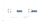**International Medical Group**



MG® Brand Guidelines<br>Copyright ©2020 IMG® Brand Guidelines  *Copyright ©2020*

- The "Flock & Box" logo-mark.
- 2. IMG acronym.
- 3. Full logotype.



# APPEARANCE

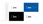color on positive







*gray = K50*

color on negative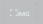IMG® Brand Guidelines<br>Copyright ©2020 IMG® Brand Guidelines  *Copyright ©2020*

**International Medical Group**





FUSULIO *Alignment* $\overline{\phantom{a}}$  $\overline{\phantom{0}}$ 

 $|\forall^*|$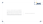

1**c**

1**c**



This page delivers quick and accurate measurements for placing the logo in designed materials, such as forms, documents and stationery items.

This simple and minimalist layout and logo placement is just one example of the many design styles included in IMG's branding. Continue to the following pages for logo placement on other branded materials.

IMG logo appears at the top right-hand corner

# SCALE, SIZE AND PLACEMENT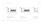$\overline{\mathsf{n}}$ **International Medical Group**

 $\mathcal{L}$ 

MG® Brand Guidelines<br>Copyright ©2020 IMG® Brand Guidelines  *Copyright ©2020*







*Note: All options of IMG logotype should include the "®" registered trademark symbol at the right of the logotype at all times.* 

### 3. IMG trademark on grid

*the grid shows the calculation of the correct safe space around the trademark.*



### 2. IMG logo on grid



*the grid shows how to measure the right amount of safe space around the logotype.*

1. IMG logo and tagline on grid *the grid shows how to measure the right amount of safe space around the logotype and tagline, and in between them.*